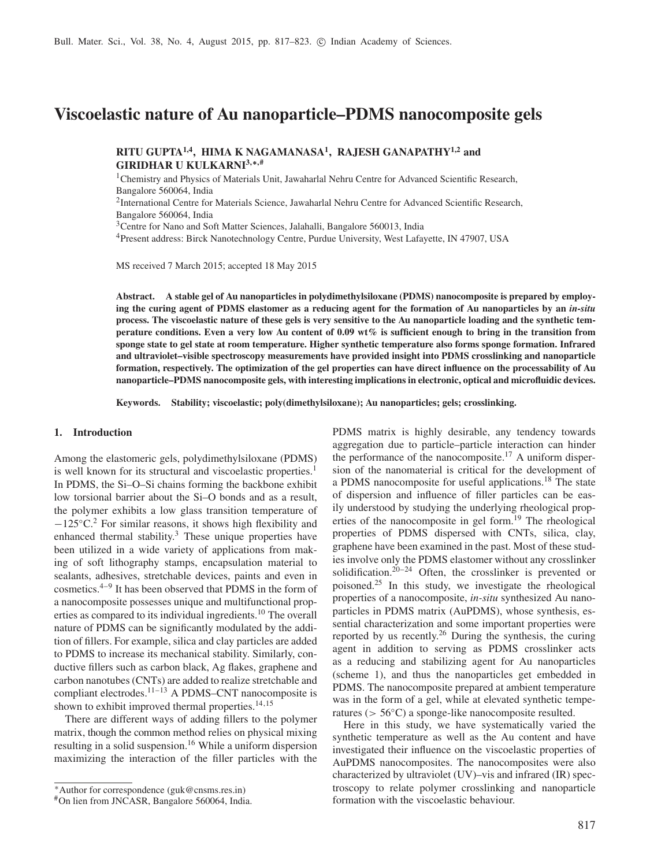# **Viscoelastic nature of Au nanoparticle–PDMS nanocomposite gels**

**RITU GUPTA1,4, HIMA K NAGAMANASA<sup>1</sup> , RAJESH GANAPATHY1,2 and GIRIDHAR U KULKARNI<sup>3</sup>**,∗,**#**

<sup>1</sup>Chemistry and Physics of Materials Unit, Jawaharlal Nehru Centre for Advanced Scientific Research, Bangalore 560064, India

<sup>2</sup>International Centre for Materials Science, Jawaharlal Nehru Centre for Advanced Scientific Research, Bangalore 560064, India

<sup>3</sup>Centre for Nano and Soft Matter Sciences, Jalahalli, Bangalore 560013, India

<sup>4</sup>Present address: Birck Nanotechnology Centre, Purdue University, West Lafayette, IN 47907, USA

MS received 7 March 2015; accepted 18 May 2015

**Abstract. A stable gel of Au nanoparticles in polydimethylsiloxane (PDMS) nanocomposite is prepared by employing the curing agent of PDMS elastomer as a reducing agent for the formation of Au nanoparticles by an** *in-situ* **process. The viscoelastic nature of these gels is very sensitive to the Au nanoparticle loading and the synthetic temperature conditions. Even a very low Au content of 0.09 wt% is sufficient enough to bring in the transition from sponge state to gel state at room temperature. Higher synthetic temperature also forms sponge formation. Infrared and ultraviolet–visible spectroscopy measurements have provided insight into PDMS crosslinking and nanoparticle formation, respectively. The optimization of the gel properties can have direct influence on the processability of Au nanoparticle–PDMS nanocomposite gels, with interesting implications in electronic, optical and microfluidic devices.**

**Keywords. Stability; viscoelastic; poly(dimethylsiloxane); Au nanoparticles; gels; crosslinking.**

### **1. Introduction**

Among the elastomeric gels, polydimethylsiloxane (PDMS) is well known for its structural and viscoelastic properties.<sup>1</sup> In PDMS, the Si–O–Si chains forming the backbone exhibit low torsional barrier about the Si–O bonds and as a result, the polymer exhibits a low glass transition temperature of −125◦C.<sup>2</sup> For similar reasons, it shows high flexibility and enhanced thermal stability.<sup>3</sup> These unique properties have been utilized in a wide variety of applications from making of soft lithography stamps, encapsulation material to sealants, adhesives, stretchable devices, paints and even in cosmetics.4–9 It has been observed that PDMS in the form of a nanocomposite possesses unique and multifunctional properties as compared to its individual ingredients.<sup>10</sup> The overall nature of PDMS can be significantly modulated by the addition of fillers. For example, silica and clay particles are added to PDMS to increase its mechanical stability. Similarly, conductive fillers such as carbon black, Ag flakes, graphene and carbon nanotubes (CNTs) are added to realize stretchable and compliant electrodes.11–13 A PDMS–CNT nanocomposite is shown to exhibit improved thermal properties.<sup>14,15</sup>

There are different ways of adding fillers to the polymer matrix, though the common method relies on physical mixing resulting in a solid suspension.<sup>16</sup> While a uniform dispersion maximizing the interaction of the filler particles with the PDMS matrix is highly desirable, any tendency towards aggregation due to particle–particle interaction can hinder the performance of the nanocomposite.<sup>17</sup> A uniform dispersion of the nanomaterial is critical for the development of a PDMS nanocomposite for useful applications.<sup>18</sup> The state of dispersion and influence of filler particles can be easily understood by studying the underlying rheological properties of the nanocomposite in gel form.<sup>19</sup> The rheological properties of PDMS dispersed with CNTs, silica, clay, graphene have been examined in the past. Most of these studies involve only the PDMS elastomer without any crosslinker solidification.<sup>20–24</sup> Often, the crosslinker is prevented or poisoned.<sup>25</sup> In this study, we investigate the rheological properties of a nanocomposite, *in-situ* synthesized Au nanoparticles in PDMS matrix (AuPDMS), whose synthesis, essential characterization and some important properties were reported by us recently.<sup>26</sup> During the synthesis, the curing agent in addition to serving as PDMS crosslinker acts as a reducing and stabilizing agent for Au nanoparticles (scheme 1), and thus the nanoparticles get embedded in PDMS. The nanocomposite prepared at ambient temperature was in the form of a gel, while at elevated synthetic temperatures (> 56◦C) a sponge-like nanocomposite resulted.

Here in this study, we have systematically varied the synthetic temperature as well as the Au content and have investigated their influence on the viscoelastic properties of AuPDMS nanocomposites. The nanocomposites were also characterized by ultraviolet (UV)–vis and infrared (IR) spectroscopy to relate polymer crosslinking and nanoparticle formation with the viscoelastic behaviour.

<sup>∗</sup>Author for correspondence (guk@cnsms.res.in)

<sup>#</sup>On lien from JNCASR, Bangalore 560064, India.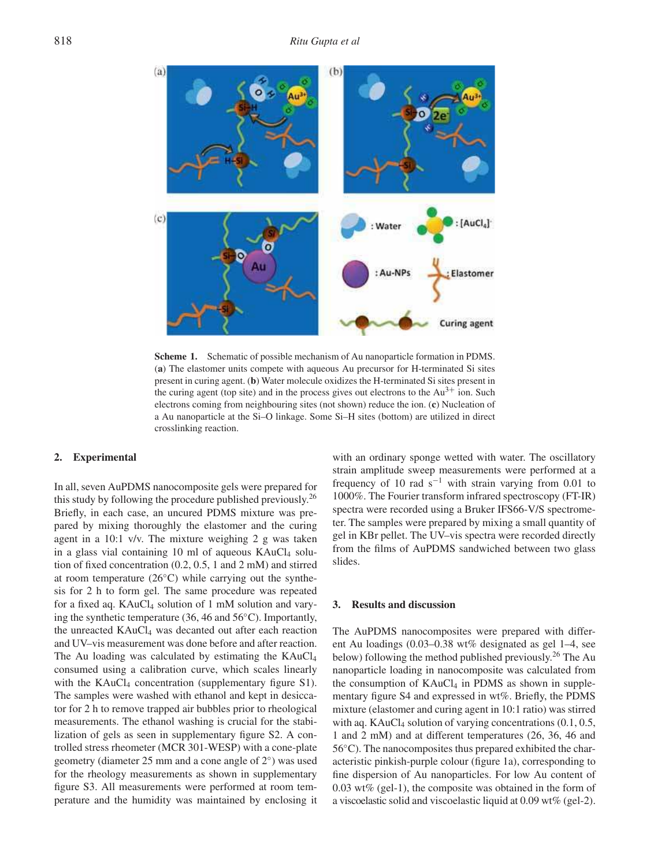

**Scheme 1.** Schematic of possible mechanism of Au nanoparticle formation in PDMS. (**a**) The elastomer units compete with aqueous Au precursor for H-terminated Si sites present in curing agent. (**b**) Water molecule oxidizes the H-terminated Si sites present in the curing agent (top site) and in the process gives out electrons to the  $Au^{3+}$  ion. Such electrons coming from neighbouring sites (not shown) reduce the ion. (**c**) Nucleation of a Au nanoparticle at the Si–O linkage. Some Si–H sites (bottom) are utilized in direct crosslinking reaction.

#### **2. Experimental**

In all, seven AuPDMS nanocomposite gels were prepared for this study by following the procedure published previously.<sup>26</sup> Briefly, in each case, an uncured PDMS mixture was prepared by mixing thoroughly the elastomer and the curing agent in a 10:1 v/v. The mixture weighing 2 g was taken in a glass vial containing 10 ml of aqueous  $KAuCl<sub>4</sub>$  solution of fixed concentration (0.2, 0.5, 1 and 2 mM) and stirred at room temperature (26◦C) while carrying out the synthesis for 2 h to form gel. The same procedure was repeated for a fixed aq.  $KAuCl<sub>4</sub>$  solution of 1 mM solution and varying the synthetic temperature (36, 46 and 56◦C). Importantly, the unreacted KAuCl<sub>4</sub> was decanted out after each reaction and UV–vis measurement was done before and after reaction. The Au loading was calculated by estimating the KAuCl<sub>4</sub> consumed using a calibration curve, which scales linearly with the  $KAuCl<sub>4</sub>$  concentration (supplementary figure S1). The samples were washed with ethanol and kept in desiccator for 2 h to remove trapped air bubbles prior to rheological measurements. The ethanol washing is crucial for the stabilization of gels as seen in supplementary figure S2. A controlled stress rheometer (MCR 301-WESP) with a cone-plate geometry (diameter 25 mm and a cone angle of 2◦ ) was used for the rheology measurements as shown in supplementary figure S3. All measurements were performed at room temperature and the humidity was maintained by enclosing it with an ordinary sponge wetted with water. The oscillatory strain amplitude sweep measurements were performed at a frequency of 10 rad  $s^{-1}$  with strain varying from 0.01 to 1000%. The Fourier transform infrared spectroscopy (FT-IR) spectra were recorded using a Bruker IFS66-V/S spectrometer. The samples were prepared by mixing a small quantity of gel in KBr pellet. The UV–vis spectra were recorded directly from the films of AuPDMS sandwiched between two glass slides.

### **3. Results and discussion**

The AuPDMS nanocomposites were prepared with different Au loadings (0.03–0.38 wt% designated as gel 1–4, see below) following the method published previously.<sup>26</sup> The Au nanoparticle loading in nanocomposite was calculated from the consumption of  $KAuCl<sub>4</sub>$  in PDMS as shown in supplementary figure S4 and expressed in wt%. Briefly, the PDMS mixture (elastomer and curing agent in 10:1 ratio) was stirred with aq. KAuCl<sub>4</sub> solution of varying concentrations  $(0.1, 0.5,$ 1 and 2 mM) and at different temperatures (26, 36, 46 and 56 °C). The nanocomposites thus prepared exhibited the characteristic pinkish-purple colour (figure 1a), corresponding to fine dispersion of Au nanoparticles. For low Au content of 0.03 wt% (gel-1), the composite was obtained in the form of a viscoelastic solid and viscoelastic liquid at 0.09 wt% (gel-2).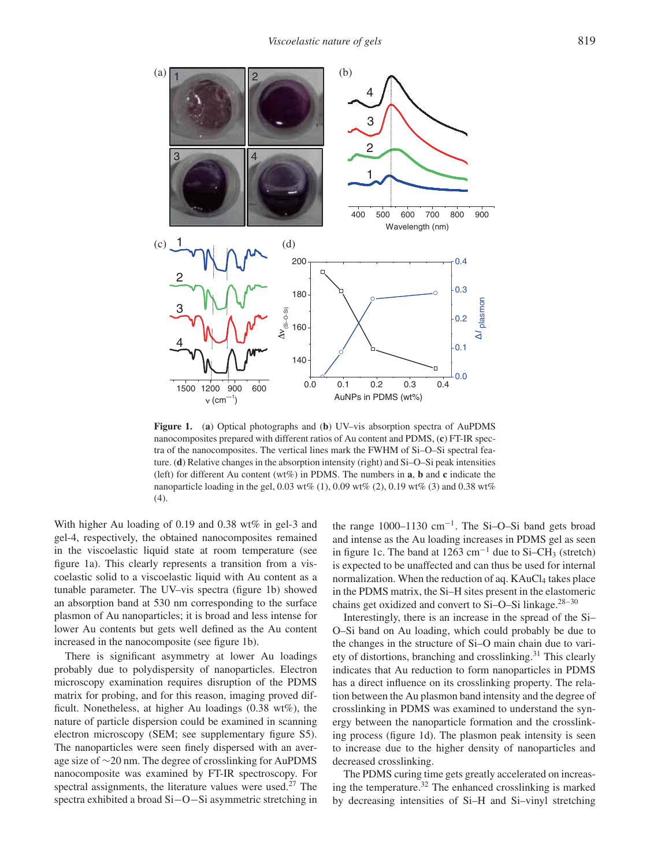

**Figure 1.** (**a**) Optical photographs and (**b**) UV–vis absorption spectra of AuPDMS nanocomposites prepared with different ratios of Au content and PDMS, (**c**) FT-IR spectra of the nanocomposites. The vertical lines mark the FWHM of Si–O–Si spectral feature. (**d**) Relative changes in the absorption intensity (right) and Si–O–Si peak intensities (left) for different Au content (wt%) in PDMS. The numbers in **a**, **b** and **c** indicate the nanoparticle loading in the gel, 0.03 wt% (1), 0.09 wt% (2), 0.19 wt% (3) and 0.38 wt% (4).

With higher Au loading of 0.19 and 0.38 wt% in gel-3 and gel-4, respectively, the obtained nanocomposites remained in the viscoelastic liquid state at room temperature (see figure 1a). This clearly represents a transition from a viscoelastic solid to a viscoelastic liquid with Au content as a tunable parameter. The UV–vis spectra (figure 1b) showed an absorption band at 530 nm corresponding to the surface plasmon of Au nanoparticles; it is broad and less intense for lower Au contents but gets well defined as the Au content increased in the nanocomposite (see figure 1b).

There is significant asymmetry at lower Au loadings probably due to polydispersity of nanoparticles. Electron microscopy examination requires disruption of the PDMS matrix for probing, and for this reason, imaging proved difficult. Nonetheless, at higher Au loadings (0.38 wt%), the nature of particle dispersion could be examined in scanning electron microscopy (SEM; see supplementary figure S5). The nanoparticles were seen finely dispersed with an average size of ∼20 nm. The degree of crosslinking for AuPDMS nanocomposite was examined by FT-IR spectroscopy. For spectral assignments, the literature values were used.<sup>27</sup> The spectra exhibited a broad Si−O−Si asymmetric stretching in

the range 1000–1130 cm<sup>−</sup><sup>1</sup> . The Si–O–Si band gets broad and intense as the Au loading increases in PDMS gel as seen in figure 1c. The band at 1263 cm<sup>-1</sup> due to Si–CH<sub>3</sub> (stretch) is expected to be unaffected and can thus be used for internal normalization. When the reduction of aq.  $KAuCl<sub>4</sub>$  takes place in the PDMS matrix, the Si–H sites present in the elastomeric chains get oxidized and convert to Si–O–Si linkage.<sup>28–30</sup>

Interestingly, there is an increase in the spread of the Si– O–Si band on Au loading, which could probably be due to the changes in the structure of Si–O main chain due to variety of distortions, branching and crosslinking.<sup>31</sup> This clearly indicates that Au reduction to form nanoparticles in PDMS has a direct influence on its crosslinking property. The relation between the Au plasmon band intensity and the degree of crosslinking in PDMS was examined to understand the synergy between the nanoparticle formation and the crosslinking process (figure 1d). The plasmon peak intensity is seen to increase due to the higher density of nanoparticles and decreased crosslinking.

The PDMS curing time gets greatly accelerated on increasing the temperature.<sup>32</sup> The enhanced crosslinking is marked by decreasing intensities of Si–H and Si–vinyl stretching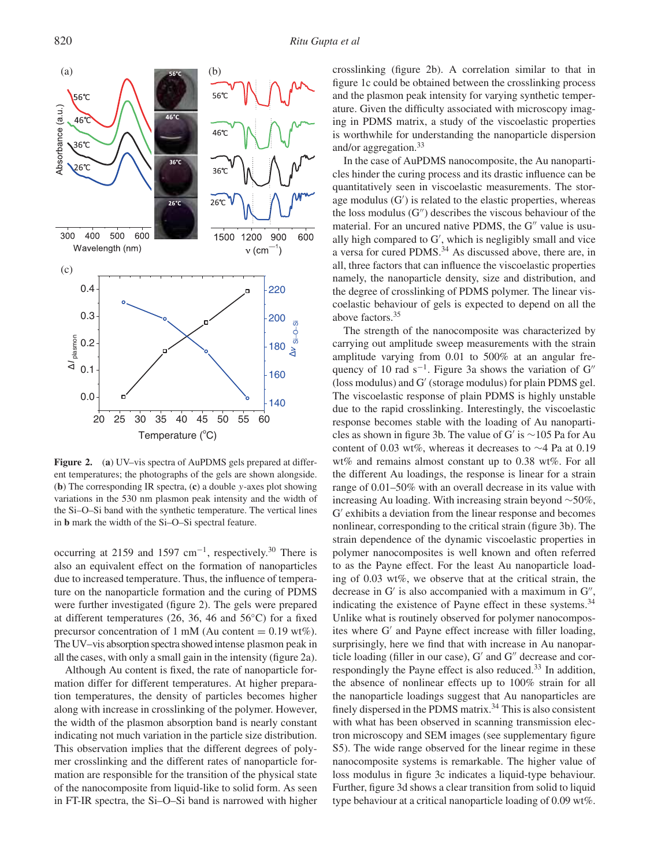

**Figure 2.** (**a**) UV–vis spectra of AuPDMS gels prepared at different temperatures; the photographs of the gels are shown alongside. (**b**) The corresponding IR spectra, (**c**) a double y-axes plot showing variations in the 530 nm plasmon peak intensity and the width of the Si–O–Si band with the synthetic temperature. The vertical lines in **b** mark the width of the Si–O–Si spectral feature.

occurring at 2159 and 1597  $cm^{-1}$ , respectively.<sup>30</sup> There is also an equivalent effect on the formation of nanoparticles due to increased temperature. Thus, the influence of temperature on the nanoparticle formation and the curing of PDMS were further investigated (figure 2). The gels were prepared at different temperatures (26, 36, 46 and 56◦C) for a fixed precursor concentration of 1 mM (Au content  $= 0.19$  wt%). The UV–vis absorption spectra showed intense plasmon peak in all the cases, with only a small gain in the intensity (figure 2a).

Although Au content is fixed, the rate of nanoparticle formation differ for different temperatures. At higher preparation temperatures, the density of particles becomes higher along with increase in crosslinking of the polymer. However, the width of the plasmon absorption band is nearly constant indicating not much variation in the particle size distribution. This observation implies that the different degrees of polymer crosslinking and the different rates of nanoparticle formation are responsible for the transition of the physical state of the nanocomposite from liquid-like to solid form. As seen in FT-IR spectra, the Si–O–Si band is narrowed with higher crosslinking (figure 2b). A correlation similar to that in figure 1c could be obtained between the crosslinking process and the plasmon peak intensity for varying synthetic temperature. Given the difficulty associated with microscopy imaging in PDMS matrix, a study of the viscoelastic properties is worthwhile for understanding the nanoparticle dispersion and/or aggregation.<sup>33</sup>

In the case of AuPDMS nanocomposite, the Au nanoparticles hinder the curing process and its drastic influence can be quantitatively seen in viscoelastic measurements. The storage modulus (G′ ) is related to the elastic properties, whereas the loss modulus  $(G'')$  describes the viscous behaviour of the material. For an uncured native PDMS, the G" value is usually high compared to G′ , which is negligibly small and vice a versa for cured PDMS.<sup>34</sup> As discussed above, there are, in all, three factors that can influence the viscoelastic properties namely, the nanoparticle density, size and distribution, and the degree of crosslinking of PDMS polymer. The linear viscoelastic behaviour of gels is expected to depend on all the above factors.<sup>35</sup>

The strength of the nanocomposite was characterized by carrying out amplitude sweep measurements with the strain amplitude varying from 0.01 to 500% at an angular frequency of 10 rad  $s^{-1}$ . Figure 3a shows the variation of G<sup>"</sup> (loss modulus) and G′ (storage modulus) for plain PDMS gel. The viscoelastic response of plain PDMS is highly unstable due to the rapid crosslinking. Interestingly, the viscoelastic response becomes stable with the loading of Au nanoparticles as shown in figure 3b. The value of G′ is ∼105 Pa for Au content of 0.03 wt%, whereas it decreases to ∼4 Pa at 0.19 wt% and remains almost constant up to 0.38 wt%. For all the different Au loadings, the response is linear for a strain range of 0.01–50% with an overall decrease in its value with increasing Au loading. With increasing strain beyond ∼50%, G ′ exhibits a deviation from the linear response and becomes nonlinear, corresponding to the critical strain (figure 3b). The strain dependence of the dynamic viscoelastic properties in polymer nanocomposites is well known and often referred to as the Payne effect. For the least Au nanoparticle loading of 0.03 wt%, we observe that at the critical strain, the decrease in G' is also accompanied with a maximum in G", indicating the existence of Payne effect in these systems.<sup>34</sup> Unlike what is routinely observed for polymer nanocomposites where G′ and Payne effect increase with filler loading, surprisingly, here we find that with increase in Au nanoparticle loading (filler in our case), G' and G" decrease and correspondingly the Payne effect is also reduced.<sup>33</sup> In addition, the absence of nonlinear effects up to 100% strain for all the nanoparticle loadings suggest that Au nanoparticles are finely dispersed in the PDMS matrix.<sup>34</sup> This is also consistent with what has been observed in scanning transmission electron microscopy and SEM images (see supplementary figure S5). The wide range observed for the linear regime in these nanocomposite systems is remarkable. The higher value of loss modulus in figure 3c indicates a liquid-type behaviour. Further, figure 3d shows a clear transition from solid to liquid type behaviour at a critical nanoparticle loading of 0.09 wt%.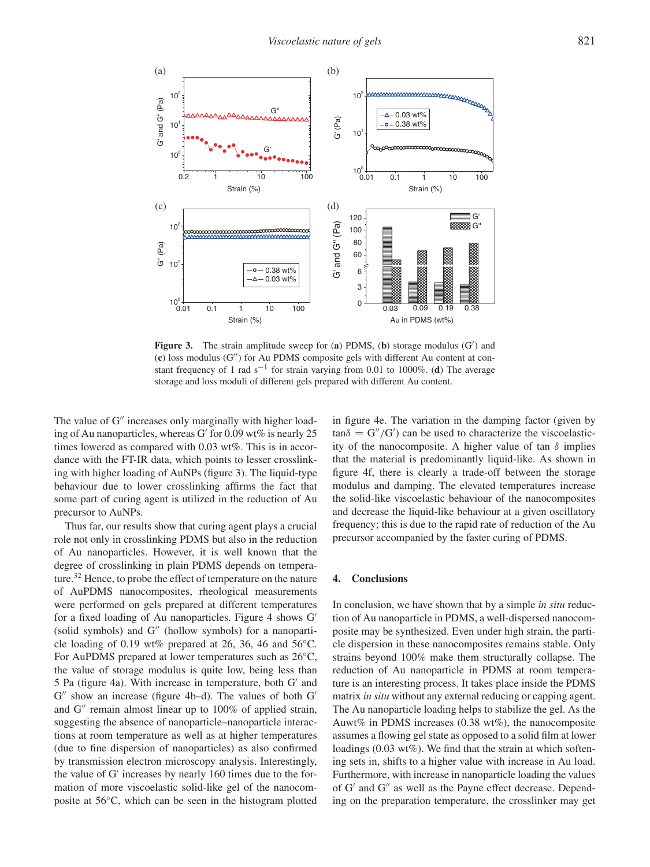

**Figure 3.** The strain amplitude sweep for (**a**) PDMS, (**b**) storage modulus (G′ ) and (**c**) loss modulus (G′′) for Au PDMS composite gels with different Au content at constant frequency of 1 rad s<sup>-1</sup> for strain varying from 0.01 to 1000%. (**d**) The average storage and loss moduli of different gels prepared with different Au content.

The value of G'' increases only marginally with higher loading of Au nanoparticles, whereas G′ for 0.09 wt% is nearly 25 times lowered as compared with 0.03 wt%. This is in accordance with the FT-IR data, which points to lesser crosslinking with higher loading of AuNPs (figure 3). The liquid-type behaviour due to lower crosslinking affirms the fact that some part of curing agent is utilized in the reduction of Au precursor to AuNPs.

Thus far, our results show that curing agent plays a crucial role not only in crosslinking PDMS but also in the reduction of Au nanoparticles. However, it is well known that the degree of crosslinking in plain PDMS depends on temperature.<sup>32</sup> Hence, to probe the effect of temperature on the nature of AuPDMS nanocomposites, rheological measurements were performed on gels prepared at different temperatures for a fixed loading of Au nanoparticles. Figure 4 shows G′ (solid symbols) and G′′ (hollow symbols) for a nanoparticle loading of 0.19 wt% prepared at 26, 36, 46 and  $56^{\circ}$ C. For AuPDMS prepared at lower temperatures such as 26◦C, the value of storage modulus is quite low, being less than 5 Pa (figure 4a). With increase in temperature, both G′ and G" show an increase (figure 4b-d). The values of both G' and G′′ remain almost linear up to 100% of applied strain, suggesting the absence of nanoparticle–nanoparticle interactions at room temperature as well as at higher temperatures (due to fine dispersion of nanoparticles) as also confirmed by transmission electron microscopy analysis. Interestingly, the value of G′ increases by nearly 160 times due to the formation of more viscoelastic solid-like gel of the nanocomposite at 56◦C, which can be seen in the histogram plotted in figure 4e. The variation in the damping factor (given by  $tan\delta = G''/G'$  can be used to characterize the viscoelasticity of the nanocomposite. A higher value of tan  $\delta$  implies that the material is predominantly liquid-like. As shown in figure 4f, there is clearly a trade-off between the storage modulus and damping. The elevated temperatures increase the solid-like viscoelastic behaviour of the nanocomposites and decrease the liquid-like behaviour at a given oscillatory frequency; this is due to the rapid rate of reduction of the Au precursor accompanied by the faster curing of PDMS.

## **4. Conclusions**

In conclusion, we have shown that by a simple *in situ* reduction of Au nanoparticle in PDMS, a well-dispersed nanocomposite may be synthesized. Even under high strain, the particle dispersion in these nanocomposites remains stable. Only strains beyond 100% make them structurally collapse. The reduction of Au nanoparticle in PDMS at room temperature is an interesting process. It takes place inside the PDMS matrix *in situ* without any external reducing or capping agent. The Au nanoparticle loading helps to stabilize the gel. As the Auwt% in PDMS increases (0.38 wt%), the nanocomposite assumes a flowing gel state as opposed to a solid film at lower loadings (0.03 wt%). We find that the strain at which softening sets in, shifts to a higher value with increase in Au load. Furthermore, with increase in nanoparticle loading the values of G′ and G′′ as well as the Payne effect decrease. Depending on the preparation temperature, the crosslinker may get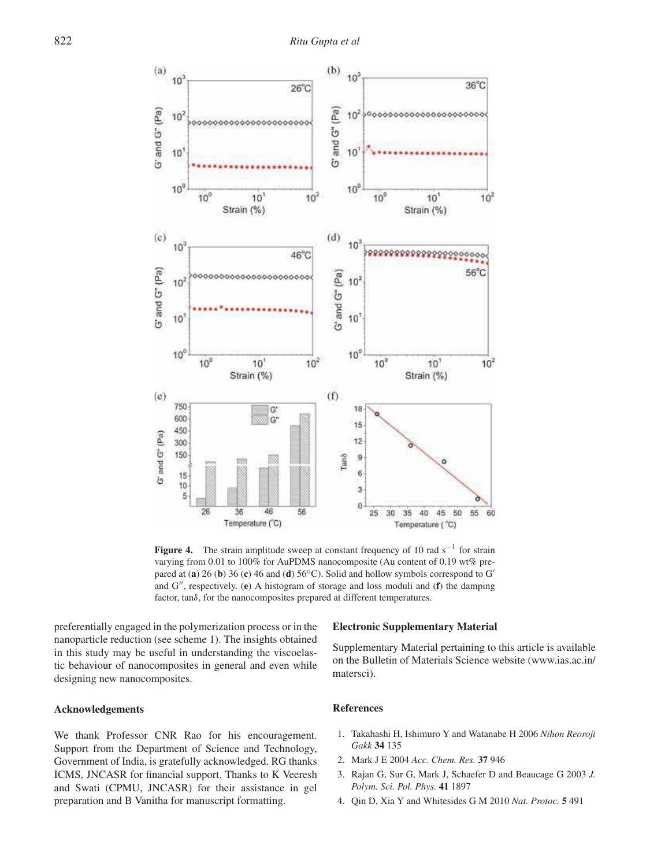

**Figure 4.** The strain amplitude sweep at constant frequency of 10 rad  $s^{-1}$  for strain varying from 0.01 to 100% for AuPDMS nanocomposite (Au content of 0.19 wt% prepared at (**a**) 26 (**b**) 36 (**c**) 46 and (**d**) 56◦C). Solid and hollow symbols correspond to G′ and G′′, respectively. (**e**) A histogram of storage and loss moduli and (**f**) the damping factor, tanδ, for the nanocomposites prepared at different temperatures.

preferentially engaged in the polymerization process or in the nanoparticle reduction (see scheme 1). The insights obtained in this study may be useful in understanding the viscoelastic behaviour of nanocomposites in general and even while designing new nanocomposites.

# **Acknowledgements**

We thank Professor CNR Rao for his encouragement. Support from the Department of Science and Technology, Government of India, is gratefully acknowledged. RG thanks ICMS, JNCASR for financial support. Thanks to K Veeresh and Swati (CPMU, JNCASR) for their assistance in gel preparation and B Vanitha for manuscript formatting.

#### **Electronic Supplementary Material**

Supplementary Material pertaining to this article is available on the Bulletin of Materials Science website (www.ias.ac.in/ matersci).

# **References**

- 1. Takahashi H, Ishimuro Y and Watanabe H 2006 *Nihon Reoroji Gakk* **34** 135
- 2. Mark J E 2004 *Acc. Chem. Res.* **37** 946
- 3. Rajan G, Sur G, Mark J, Schaefer D and Beaucage G 2003 *J. Polym. Sci. Pol. Phys.* **41** 1897
- 4. Qin D, Xia Y and Whitesides G M 2010 *Nat. Protoc.* **5** 491